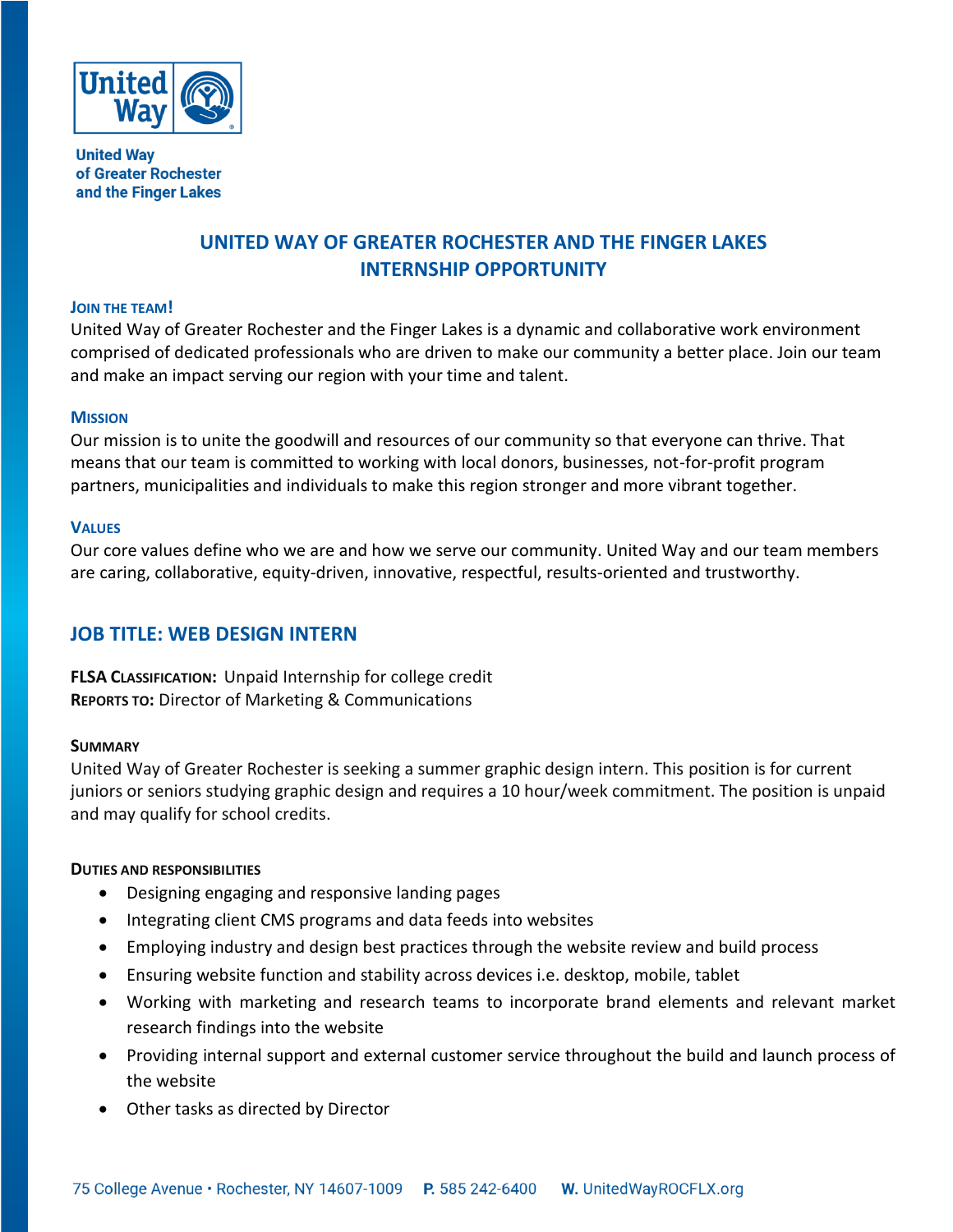

**United Way** of Greater Rochester and the Finger Lakes

# **UNITED WAY OF GREATER ROCHESTER AND THE FINGER LAKES INTERNSHIP OPPORTUNITY**

#### **JOIN THE TEAM!**

United Way of Greater Rochester and the Finger Lakes is a dynamic and collaborative work environment comprised of dedicated professionals who are driven to make our community a better place. Join our team and make an impact serving our region with your time and talent.

#### **MISSION**

Our mission is to unite the goodwill and resources of our community so that everyone can thrive. That means that our team is committed to working with local donors, businesses, not-for-profit program partners, municipalities and individuals to make this region stronger and more vibrant together.

#### **VALUES**

Our core values define who we are and how we serve our community. United Way and our team members are caring, collaborative, equity-driven, innovative, respectful, results-oriented and trustworthy.

## **JOB TITLE: WEB DESIGN INTERN**

**FLSA CLASSIFICATION:** Unpaid Internship for college credit **REPORTS TO:** Director of Marketing & Communications

#### **SUMMARY**

United Way of Greater Rochester is seeking a summer graphic design intern. This position is for current juniors or seniors studying graphic design and requires a 10 hour/week commitment. The position is unpaid and may qualify for school credits.

### **DUTIES AND RESPONSIBILITIES**

- Designing engaging and responsive landing pages
- Integrating client CMS programs and data feeds into websites
- Employing industry and design best practices through the website review and build process
- Ensuring website function and stability across devices i.e. desktop, mobile, tablet
- Working with marketing and research teams to incorporate brand elements and relevant market research findings into the website
- Providing internal support and external customer service throughout the build and launch process of the website
- Other tasks as directed by Director